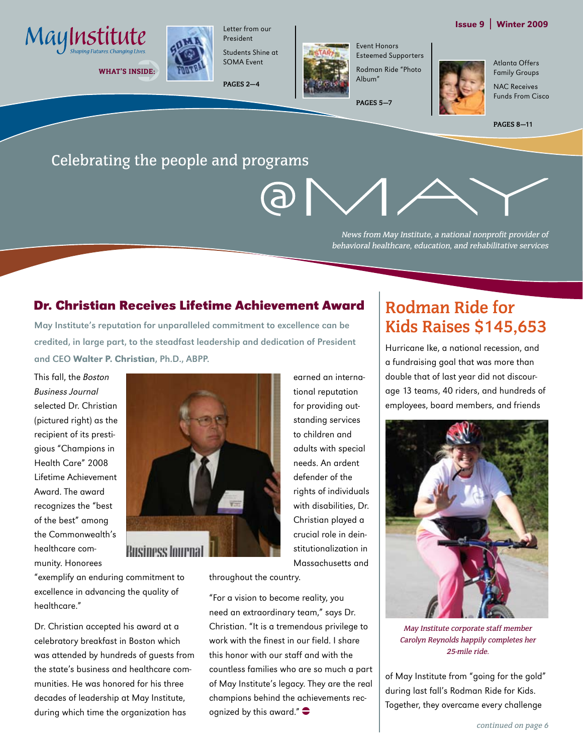#### Issue 9 | Winter 2009



WHAT'S INSIDE:



President Students Shine at SOMA Event

**PAGES 2—4**



Event Honors Esteemed Supporters Rodman Ride "Photo Album"

**PAGES 5—7**

Atlanta Offers Family Groups NAC Receives Funds From Cisco



## Celebrating the people and programs



News from May Institute, a national nonprofit provider of behavioral healthcare, education, and rehabilitative services

#### **Dr. Christian Receives Lifetime Achievement Award**

May Institute's reputation for unparalleled commitment to excellence can be credited, in large part, to the steadfast leadership and dedication of President and CEO Walter P. Christian, Ph.D., ABPP.

This fall, the Boston Business Journal selected Dr. Christian (pictured right) as the recipient of its prestigious "Champions in Health Care" 2008 Lifetime Achievement Award. The award recognizes the "best of the best" among the Commonwealth's healthcare community. Honorees

healthcare."

"exemplify an enduring commitment to excellence in advancing the quality of

Dr. Christian accepted his award at a celebratory breakfast in Boston which was attended by hundreds of guests from the state's business and healthcare communities. He was honored for his three decades of leadership at May Institute, during which time the organization has



tional reputation for providing outstanding services to children and adults with special needs. An ardent defender of the rights of individuals with disabilities, Dr. Christian played a crucial role in deinstitutionalization in Massachusetts and

earned an interna-

throughout the country.

"For a vision to become reality, you need an extraordinary team," says Dr. Christian. "It is a tremendous privilege to work with the finest in our field. I share this honor with our staff and with the countless families who are so much a part of May Institute's legacy. They are the real champions behind the achievements recognized by this award." $\bullet$ 

## **Rodman Ride for Kids Raises \$145,653**

Hurricane Ike, a national recession, and a fundraising goal that was more than double that of last year did not discourage 13 teams, 40 riders, and hundreds of employees, board members, and friends



May Institute corporate staff member Carolyn Reynolds happily completes her 25-mile ride.

of May Institute from "going for the gold" during last fall's Rodman Ride for Kids. Together, they overcame every challenge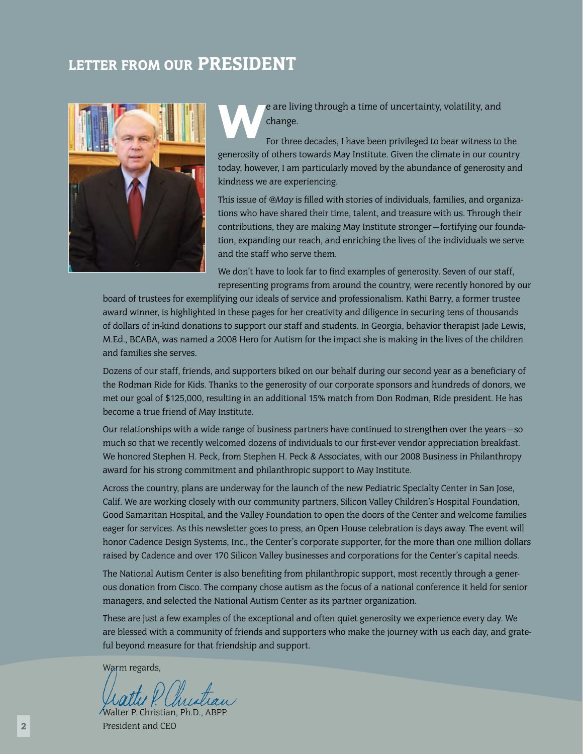## LETTER FROM OUR PRESIDENT



e are living through a time of uncertainty, volatility, and<br>
For three decades, I have been privileged to bear witness to the change.

generosity of others towards May Institute. Given the climate in our country today, however, I am particularly moved by the abundance of generosity and kindness we are experiencing.

This issue of *@May* is filled with stories of individuals, families, and organizations who have shared their time, talent, and treasure with us. Through their contributions, they are making May Institute stronger—fortifying our foundation, expanding our reach, and enriching the lives of the individuals we serve and the staff who serve them.

We don't have to look far to find examples of generosity. Seven of our staff, representing programs from around the country, were recently honored by our

board of trustees for exemplifying our ideals of service and professionalism. Kathi Barry, a former trustee award winner, is highlighted in these pages for her creativity and diligence in securing tens of thousands of dollars of in-kind donations to support our staff and students. In Georgia, behavior therapist Jade Lewis, M.Ed., BCABA, was named a 2008 Hero for Autism for the impact she is making in the lives of the children and families she serves.

Dozens of our staff, friends, and supporters biked on our behalf during our second year as a beneficiary of the Rodman Ride for Kids. Thanks to the generosity of our corporate sponsors and hundreds of donors, we met our goal of \$125,000, resulting in an additional 15% match from Don Rodman, Ride president. He has become a true friend of May Institute.

Our relationships with a wide range of business partners have continued to strengthen over the years—so much so that we recently welcomed dozens of individuals to our first-ever vendor appreciation breakfast. We honored Stephen H. Peck, from Stephen H. Peck & Associates, with our 2008 Business in Philanthropy award for his strong commitment and philanthropic support to May Institute.

Across the country, plans are underway for the launch of the new Pediatric Specialty Center in San Jose, Calif. We are working closely with our community partners, Silicon Valley Children's Hospital Foundation, Good Samaritan Hospital, and the Valley Foundation to open the doors of the Center and welcome families eager for services. As this newsletter goes to press, an Open House celebration is days away. The event will honor Cadence Design Systems, Inc., the Center's corporate supporter, for the more than one million dollars raised by Cadence and over 170 Silicon Valley businesses and corporations for the Center's capital needs.

The National Autism Center is also benefiting from philanthropic support, most recently through a generous donation from Cisco. The company chose autism as the focus of a national conference it held for senior managers, and selected the National Autism Center as its partner organization.

These are just a few examples of the exceptional and often quiet generosity we experience every day. We are blessed with a community of friends and supporters who make the journey with us each day, and grateful beyond measure for that friendship and support.

Warm regards,

Walter P. Christian, Ph.D., ABPI President and CEO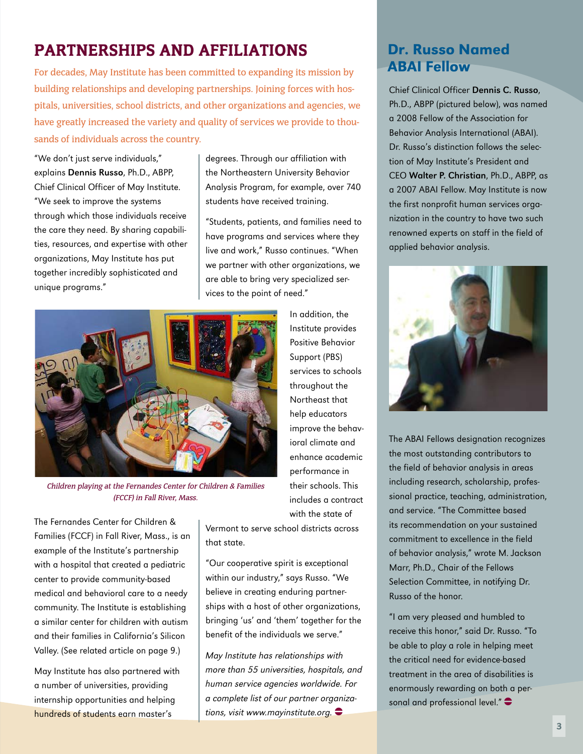## Partnerships and Affiliations

For decades, May Institute has been committed to expanding its mission by building relationships and developing partnerships. Joining forces with hospitals, universities, school districts, and other organizations and agencies, we have greatly increased the variety and quality of services we provide to thousands of individuals across the country.

"We don't just serve individuals," explains Dennis Russo, Ph.D., ABPP, Chief Clinical Officer of May Institute. "We seek to improve the systems through which those individuals receive the care they need. By sharing capabilities, resources, and expertise with other organizations, May Institute has put together incredibly sophisticated and unique programs."

degrees. Through our affiliation with the Northeastern University Behavior Analysis Program, for example, over 740 students have received training.

"Students, patients, and families need to have programs and services where they live and work," Russo continues. "When we partner with other organizations, we are able to bring very specialized services to the point of need."



Children playing at the Fernandes Center for Children & Families (FCCF) in Fall River, Mass.

The Fernandes Center for Children & Families (FCCF) in Fall River, Mass., is an example of the Institute's partnership with a hospital that created a pediatric center to provide community-based medical and behavioral care to a needy community. The Institute is establishing a similar center for children with autism and their families in California's Silicon Valley. (See related article on page 9.)

May Institute has also partnered with a number of universities, providing internship opportunities and helping hundreds of students earn master's

In addition, the Institute provides Positive Behavior Support (PBS) services to schools throughout the Northeast that help educators improve the behavioral climate and enhance academic performance in their schools. This includes a contract with the state of

Vermont to serve school districts across that state.

"Our cooperative spirit is exceptional within our industry," says Russo. "We believe in creating enduring partnerships with a host of other organizations, bringing 'us' and 'them' together for the benefit of the individuals we serve."

May Institute has relationships with more than 55 universities, hospitals, and human service agencies worldwide. For a complete list of our partner organizations, visit www.mayinstitute.org.  $\bullet$ 

## Dr. Russo Named ABAI Fellow

Chief Clinical Officer Dennis C. Russo, Ph.D., ABPP (pictured below), was named a 2008 Fellow of the Association for Behavior Analysis International (ABAI). Dr. Russo's distinction follows the selection of May Institute's President and CEO Walter P. Christian, Ph.D., ABPP, as a 2007 ABAI Fellow. May Institute is now the first nonprofit human services organization in the country to have two such renowned experts on staff in the field of applied behavior analysis.



The ABAI Fellows designation recognizes the most outstanding contributors to the field of behavior analysis in areas including research, scholarship, professional practice, teaching, administration, and service. "The Committee based its recommendation on your sustained commitment to excellence in the field of behavior analysis," wrote M. Jackson Marr, Ph.D., Chair of the Fellows Selection Committee, in notifying Dr. Russo of the honor.

"I am very pleased and humbled to receive this honor," said Dr. Russo. "To be able to play a role in helping meet the critical need for evidence-based treatment in the area of disabilities is enormously rewarding on both a personal and professional level." $\bullet$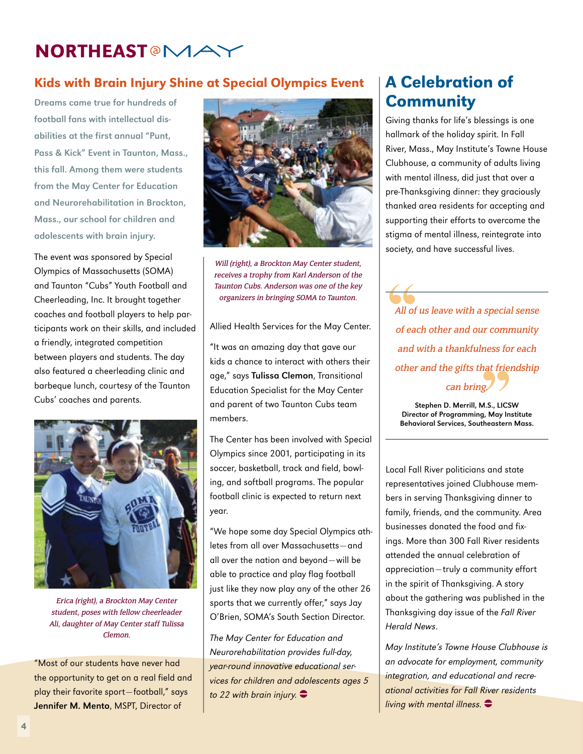## **NORTHEAST<sup>@</sup>MA**

### Kids with Brain Injury Shine at Special Olympics Event

Dreams came true for hundreds of football fans with intellectual disabilities at the first annual "Punt, Pass & Kick" Event in Taunton, Mass., this fall. Among them were students from the May Center for Education and Neurorehabilitation in Brockton, Mass., our school for children and adolescents with brain injury.

The event was sponsored by Special Olympics of Massachusetts (SOMA) and Taunton "Cubs" Youth Football and Cheerleading, Inc. It brought together coaches and football players to help participants work on their skills, and included a friendly, integrated competition between players and students. The day also featured a cheerleading clinic and barbeque lunch, courtesy of the Taunton Cubs' coaches and parents.



Erica (right), a Brockton May Center student, poses with fellow cheerleader Ali, daughter of May Center staff Tulissa Clemon.

"Most of our students have never had the opportunity to get on a real field and play their favorite sport—football," says Jennifer M. Mento, MSPT, Director of



Will (right), a Brockton May Center student, receives a trophy from Karl Anderson of the Taunton Cubs. Anderson was one of the key organizers in bringing SOMA to Taunton.

Allied Health Services for the May Center.

"It was an amazing day that gave our kids a chance to interact with others their age," says Tulissa Clemon, Transitional Education Specialist for the May Center and parent of two Taunton Cubs team members.

The Center has been involved with Special Olympics since 2001, participating in its soccer, basketball, track and field, bowling, and softball programs. The popular football clinic is expected to return next year.

"We hope some day Special Olympics athletes from all over Massachusetts—and all over the nation and beyond—will be able to practice and play flag football just like they now play any of the other 26 sports that we currently offer," says Jay O'Brien, SOMA's South Section Director.

The May Center for Education and Neurorehabilitation provides full-day, year-round innovative educational services for children and adolescents ages 5 to 22 with brain injury.  $\bullet$ 

## A Celebration of **Community**

Giving thanks for life's blessings is one hallmark of the holiday spirit. In Fall River, Mass., May Institute's Towne House Clubhouse, a community of adults living with mental illness, did just that over a pre-Thanksgiving dinner: they graciously thanked area residents for accepting and supporting their efforts to overcome the stigma of mental illness, reintegrate into society, and have successful lives.

All of us leave with a special sense of each other and our community and with a thankfulness for each other and the gifts that friendship can bring.

Stephen D. Merrill, M.S., LICSW Director of Programming, May Institute Behavioral Services, Southeastern Mass.

Local Fall River politicians and state representatives joined Clubhouse members in serving Thanksgiving dinner to family, friends, and the community. Area businesses donated the food and fixings. More than 300 Fall River residents attended the annual celebration of appreciation—truly a community effort in the spirit of Thanksgiving. A story about the gathering was published in the Thanksgiving day issue of the Fall River Herald News.

May Institute's Towne House Clubhouse is an advocate for employment, community integration, and educational and recreational activities for Fall River residents living with mental illness.  $\bullet$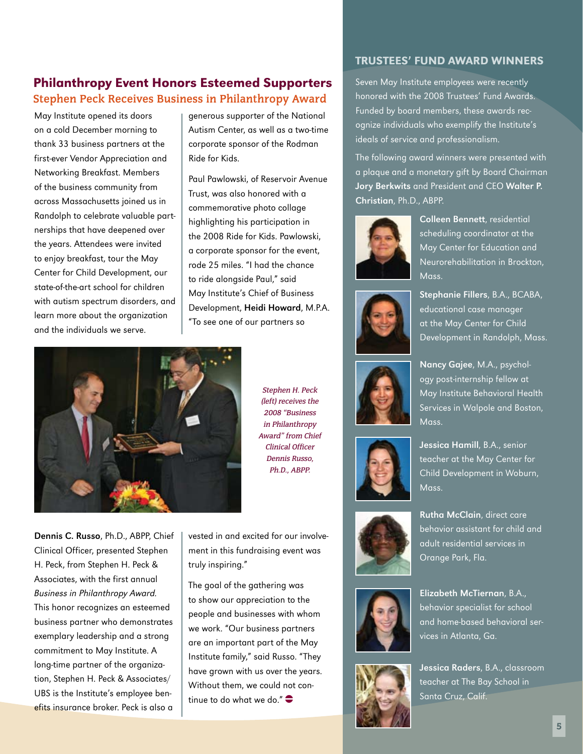### Philanthropy Event Honors Esteemed Supporters **Stephen Peck Receives Business in Philanthropy Award**

May Institute opened its doors on a cold December morning to thank 33 business partners at the first-ever Vendor Appreciation and Networking Breakfast. Members of the business community from across Massachusetts joined us in Randolph to celebrate valuable partnerships that have deepened over the years. Attendees were invited to enjoy breakfast, tour the May Center for Child Development, our state-of-the-art school for children with autism spectrum disorders, and learn more about the organization and the individuals we serve.

generous supporter of the National Autism Center, as well as a two-time corporate sponsor of the Rodman Ride for Kids.

Paul Pawlowski, of Reservoir Avenue Trust, was also honored with a commemorative photo collage highlighting his participation in the 2008 Ride for Kids. Pawlowski, a corporate sponsor for the event, rode 25 miles. "I had the chance to ride alongside Paul," said May Institute's Chief of Business Development, Heidi Howard, M.P.A. "To see one of our partners so



Stephen H. Peck (left) receives the 2008 "Business in Philanthropy Award" from Chief Clinical Officer Dennis Russo, Ph.D., ABPP.

Dennis C. Russo, Ph.D., ABPP, Chief Clinical Officer, presented Stephen H. Peck, from Stephen H. Peck & Associates, with the first annual Business in Philanthropy Award. This honor recognizes an esteemed business partner who demonstrates exemplary leadership and a strong commitment to May Institute. A long-time partner of the organization, Stephen H. Peck & Associates/ UBS is the Institute's employee benefits insurance broker. Peck is also a

vested in and excited for our involvement in this fundraising event was truly inspiring."

The goal of the gathering was to show our appreciation to the people and businesses with whom we work. "Our business partners are an important part of the May Institute family," said Russo. "They have grown with us over the years. Without them, we could not continue to do what we do." $\bullet$ 

#### Trustees' Fund Award Winners

Seven May Institute employees were recently honored with the 2008 Trustees' Fund Awards. Funded by board members, these awards recognize individuals who exemplify the Institute's ideals of service and professionalism.

The following award winners were presented with a plaque and a monetary gift by Board Chairman Jory Berkwits and President and CEO Walter P. Christian, Ph.D., ABPP.



Colleen Bennett, residential scheduling coordinator at the May Center for Education and Neurorehabilitation in Brockton, Mass.



Stephanie Fillers, B.A., BCABA, educational case manager at the May Center for Child Development in Randolph, Mass.



Nancy Gajee, M.A., psychology post-internship fellow at May Institute Behavioral Health Services in Walpole and Boston, Mass.



Jessica Hamill, B.A., senior teacher at the May Center for Child Development in Woburn, Mass.



Rutha McClain, direct care behavior assistant for child and adult residential services in Orange Park, Fla.



Elizabeth McTiernan, B.A., behavior specialist for school and home-based behavioral ser-



vices in Atlanta, Ga.

Jessica Raders, B.A., classroom teacher at The Bay School in Santa Cruz, Calif.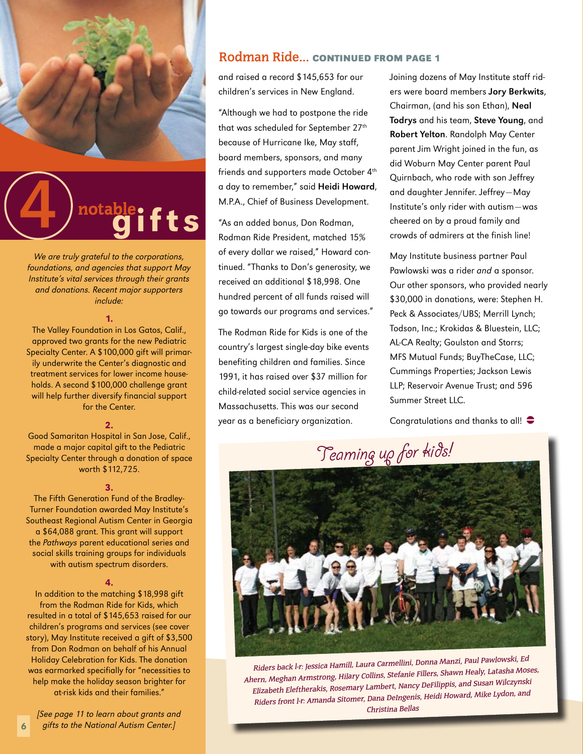



We are truly grateful to the corporations, foundations, and agencies that support May Institute's vital services through their grants and donations. Recent major supporters include:

#### 1.

The Valley Foundation in Los Gatos, Calif., approved two grants for the new Pediatric Specialty Center. A \$100,000 gift will primarily underwrite the Center's diagnostic and treatment services for lower income households. A second \$100,000 challenge grant will help further diversify financial support for the Center.

#### 2.

Good Samaritan Hospital in San Jose, Calif., made a major capital gift to the Pediatric Specialty Center through a donation of space worth \$112,725.

#### 3.

The Fifth Generation Fund of the Bradley-Turner Foundation awarded May Institute's Southeast Regional Autism Center in Georgia a \$64,088 grant. This grant will support the Pathways parent educational series and social skills training groups for individuals with autism spectrum disorders.

#### 4.

In addition to the matching \$18,998 gift from the Rodman Ride for Kids, which resulted in a total of \$145,653 raised for our children's programs and services (see cover story), May Institute received a gift of \$3,500 from Don Rodman on behalf of his Annual Holiday Celebration for Kids. The donation was earmarked specifially for "necessities to help make the holiday season brighter for at-risk kids and their families."

[See page 11 to learn about grants and gifts to the National Autism Center.]

6

#### **Rodman Ride… Continued from page 1**

and raised a record \$145,653 for our children's services in New England.

"Although we had to postpone the ride that was scheduled for September 27<sup>th</sup> because of Hurricane Ike, May staff, board members, sponsors, and many friends and supporters made October 4<sup>th</sup> a day to remember," said Heidi Howard, M.P.A., Chief of Business Development.

"As an added bonus, Don Rodman, Rodman Ride President, matched 15% of every dollar we raised," Howard continued. "Thanks to Don's generosity, we received an additional \$18,998. One hundred percent of all funds raised will go towards our programs and services."

The Rodman Ride for Kids is one of the country's largest single-day bike events benefiting children and families. Since 1991, it has raised over \$37 million for child-related social service agencies in Massachusetts. This was our second year as a beneficiary organization.

Joining dozens of May Institute staff riders were board members Jory Berkwits, Chairman, (and his son Ethan), Neal Todrys and his team, Steve Young, and Robert Yelton. Randolph May Center parent Jim Wright joined in the fun, as did Woburn May Center parent Paul Quirnbach, who rode with son Jeffrey and daughter Jennifer. Jeffrey—May Institute's only rider with autism—was cheered on by a proud family and crowds of admirers at the finish line!

May Institute business partner Paul Pawlowski was a rider and a sponsor. Our other sponsors, who provided nearly \$30,000 in donations, were: Stephen H. Peck & Associates/UBS; Merrill Lynch; Todson, Inc.; Krokidas & Bluestein, LLC; AL-CA Realty; Goulston and Storrs; MFS Mutual Funds; BuyTheCase, LLC; Cummings Properties; Jackson Lewis LLP; Reservoir Avenue Trust; and 596 Summer Street LLC.

Congratulations and thanks to all!  $\bullet$ 



Riders back l-r: Jessica Hamill, Laura Carmellini, Donna Manzi, Paul Pawlowski, Ed Ahern, Meghan Armstrong, Hilary Collins, Stefanie Fillers, Shawn Healy, Latasha Moses, Elizabeth Eleftherakis, Rosemary Lambert, Nancy DeFilippis, and Susan Wilczynski Riders front l-r: Amanda Sitomer, Dana DeIngenis, Heidi Howard, Mike Lydon, and Christina Bellas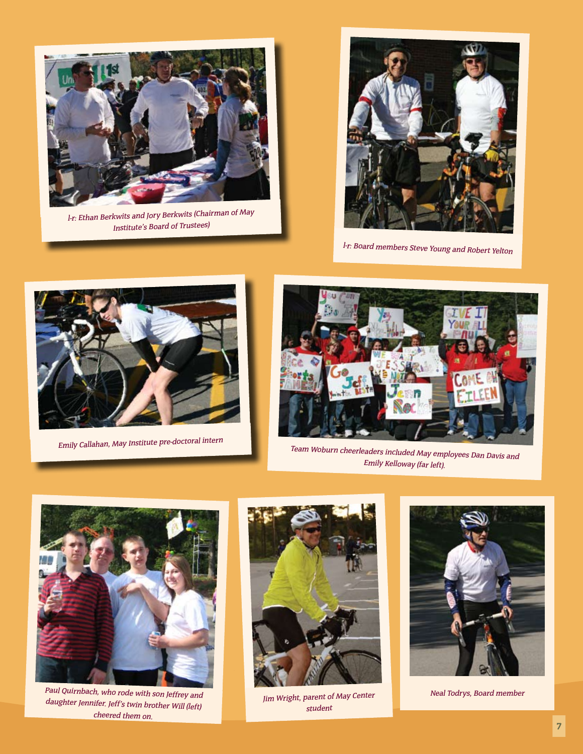

l-r: Ethan Berkwits and Jory Berkwits (Chairman of May Institute's Board of Trustees)



l-r: Board members Steve Young and Robert Yelton



Emily Callahan, May Institute pre-doctoral intern



Team Woburn cheerleaders included May employees Dan Davis and Emily Kelloway (far left).



Paul Quirnbach, who rode with son Jeffrey and daughter Jennifer. Jeff's twin brother Will (left) cheered them on.



Jim Wright, parent of May Center student



Neal Todrys, Board member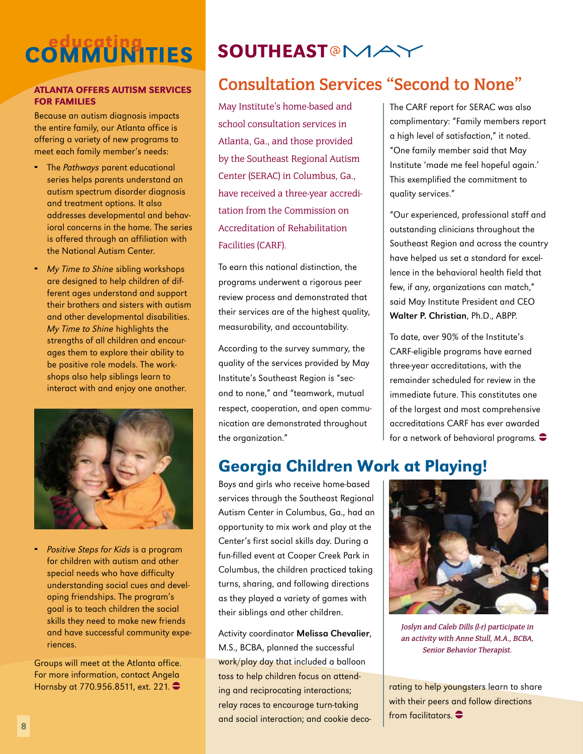# **COMMUNITIES**

#### Atlanta offers autism services for families

Because an autism diagnosis impacts the entire family, our Atlanta office is offering a variety of new programs to meet each family member's needs:

- The Pathways parent educational series helps parents understand an autism spectrum disorder diagnosis and treatment options. It also addresses developmental and behavioral concerns in the home. The series is offered through an affiliation with the National Autism Center.
- **-** My Time to Shine sibling workshops are designed to help children of different ages understand and support their brothers and sisters with autism and other developmental disabilities. My Time to Shine highlights the strengths of all children and encourages them to explore their ability to be positive role models. The workshops also help siblings learn to interact with and enjoy one another.



**Positive Steps for Kids is a program** for children with autism and other special needs who have difficulty understanding social cues and developing friendships. The program's goal is to teach children the social skills they need to make new friends and have successful community experiences.

Groups will meet at the Atlanta office. For more information, contact Angela Hornsby at 770.956.8511, ext. 221.

## SOUTHEAST<sup>@</sup>MA`

## **Consultation Services "Second to None"**

May Institute's home-based and school consultation services in Atlanta, Ga., and those provided by the Southeast Regional Autism Center (SERAC) in Columbus, Ga., have received a three-year accreditation from the Commission on Accreditation of Rehabilitation Facilities (CARF).

To earn this national distinction, the programs underwent a rigorous peer review process and demonstrated that their services are of the highest quality, measurability, and accountability.

According to the survey summary, the quality of the services provided by May Institute's Southeast Region is "second to none," and "teamwork, mutual respect, cooperation, and open communication are demonstrated throughout the organization."

The CARF report for SERAC was also complimentary: "Family members report a high level of satisfaction," it noted. "One family member said that May Institute 'made me feel hopeful again.' This exemplified the commitment to quality services."

"Our experienced, professional staff and outstanding clinicians throughout the Southeast Region and across the country have helped us set a standard for excellence in the behavioral health field that few, if any, organizations can match," said May Institute President and CEO Walter P. Christian, Ph.D., ABPP.

To date, over 90% of the Institute's CARF-eligible programs have earned three-year accreditations, with the remainder scheduled for review in the immediate future. This constitutes one of the largest and most comprehensive accreditations CARF has ever awarded for a network of behavioral programs.  $\bullet$ 

## Georgia Children Work at Playing!

Boys and girls who receive home-based services through the Southeast Regional Autism Center in Columbus, Ga., had an opportunity to mix work and play at the Center's first social skills day. During a fun-filled event at Cooper Creek Park in Columbus, the children practiced taking turns, sharing, and following directions as they played a variety of games with their siblings and other children.

Activity coordinator Melissa Chevalier, M.S., BCBA, planned the successful work/play day that included a balloon toss to help children focus on attending and reciprocating interactions; relay races to encourage turn-taking and social interaction; and cookie deco-



Joslyn and Caleb Dills (l-r) participate in an activity with Anne Stull, M.A., BCBA, Senior Behavior Therapist.

rating to help youngsters learn to share with their peers and follow directions from facilitators  $\bullet$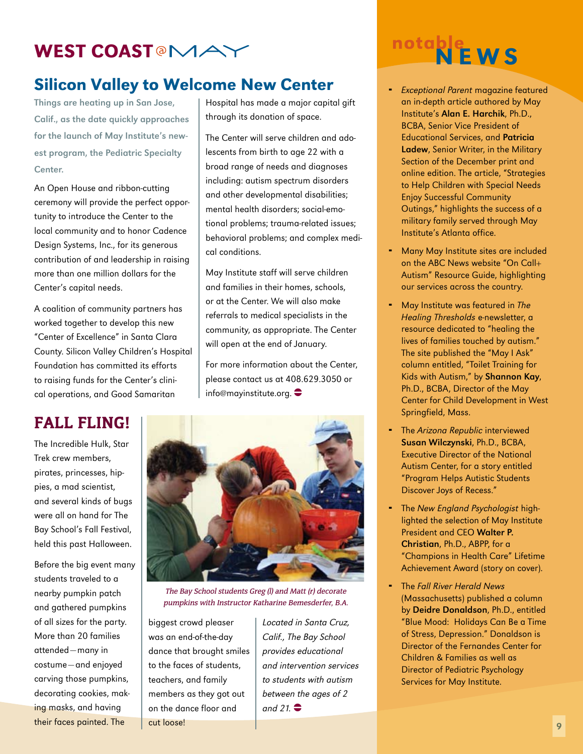## WEST COAST<sup>@</sup>MAY

## Silicon Valley to Welcome New Center

Things are heating up in San Jose, Calif., as the date quickly approaches for the launch of May Institute's newest program, the Pediatric Specialty Center.

An Open House and ribbon-cutting ceremony will provide the perfect opportunity to introduce the Center to the local community and to honor Cadence Design Systems, Inc., for its generous contribution of and leadership in raising more than one million dollars for the Center's capital needs.

A coalition of community partners has worked together to develop this new "Center of Excellence" in Santa Clara County. Silicon Valley Children's Hospital Foundation has committed its efforts to raising funds for the Center's clinical operations, and Good Samaritan

Hospital has made a major capital gift through its donation of space.

The Center will serve children and adolescents from birth to age 22 with a broad range of needs and diagnoses including: autism spectrum disorders and other developmental disabilities; mental health disorders; social-emotional problems; trauma-related issues; behavioral problems; and complex medical conditions.

May Institute staff will serve children and families in their homes, schools, or at the Center. We will also make referrals to medical specialists in the community, as appropriate. The Center will open at the end of January.

For more information about the Center, please contact us at 408.629.3050 or info@mayinstitute.org.

## Fall Fling!

The Incredible Hulk, Star Trek crew members, pirates, princesses, hippies, a mad scientist, and several kinds of bugs were all on hand for The Bay School's Fall Festival, held this past Halloween.

Before the big event many students traveled to a nearby pumpkin patch and gathered pumpkins of all sizes for the party. More than 20 families attended—many in costume—and enjoyed carving those pumpkins, decorating cookies, making masks, and having their faces painted. The



The Bay School students Greg (l) and Matt (r) decorate pumpkins with Instructor Katharine Bemesderfer, B.A.

biggest crowd pleaser was an end-of-the-day dance that brought smiles to the faces of students, teachers, and family members as they got out on the dance floor and cut loose!

Located in Santa Cruz, Calif., The Bay School provides educational and intervention services to students with autism between the ages of 2 and 21.  $\bullet$ 

## notable<br>NEWS

- Exceptional Parent magazine featured an in-depth article authored by May Institute's Alan E. Harchik, Ph.D., BCBA, Senior Vice President of Educational Services, and Patricia Ladew, Senior Writer, in the Military Section of the December print and online edition. The article, "Strategies to Help Children with Special Needs Enjoy Successful Community Outings," highlights the success of a military family served through May Institute's Atlanta office.
- Many May Institute sites are included on the ABC News website "On Call+ Autism" Resource Guide, highlighting our services across the country.
- May Institute was featured in The Healing Thresholds e-newsletter, a resource dedicated to "healing the lives of families touched by autism." The site published the "May I Ask" column entitled, "Toilet Training for Kids with Autism," by Shannon Kay, Ph.D., BCBA, Director of the May Center for Child Development in West Springfield, Mass.
- The Arizona Republic interviewed Susan Wilczynski, Ph.D., BCBA, Executive Director of the National Autism Center, for a story entitled "Program Helps Autistic Students Discover Joys of Recess."
- The New England Psychologist highlighted the selection of May Institute President and CEO Walter P. Christian, Ph.D., ABPP, for a "Champions in Health Care" Lifetime Achievement Award (story on cover).
- The Fall River Herald News (Massachusetts) published a column by Deidre Donaldson, Ph.D., entitled "Blue Mood: Holidays Can Be a Time of Stress, Depression." Donaldson is Director of the Fernandes Center for Children & Families as well as Director of Pediatric Psychology Services for May Institute.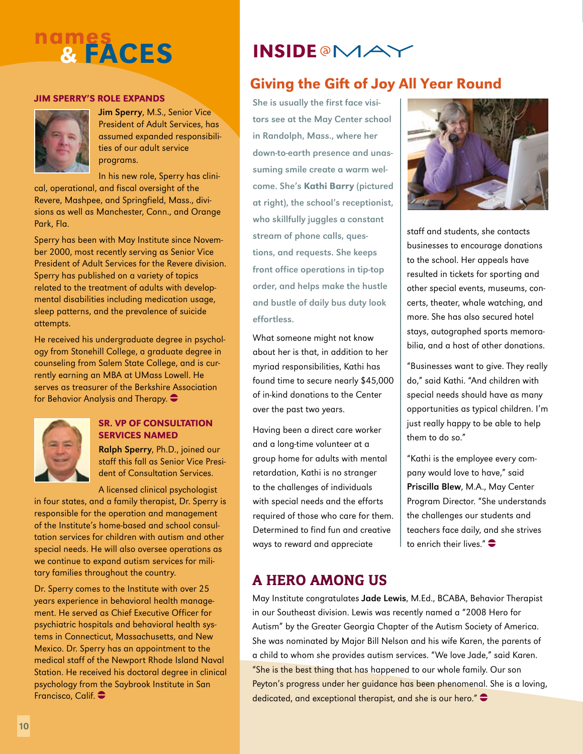## nam<u>es</u> & faces

#### Jim SPERRY'S ROLE EXPANDS



Jim Sperry, M.S., Senior Vice President of Adult Services, has assumed expanded responsibilities of our adult service programs.

In his new role, Sperry has clinical, operational, and fiscal oversight of the Revere, Mashpee, and Springfield, Mass., divisions as well as Manchester, Conn., and Orange Park, Fla.

Sperry has been with May Institute since November 2000, most recently serving as Senior Vice President of Adult Services for the Revere division. Sperry has published on a variety of topics related to the treatment of adults with developmental disabilities including medication usage, sleep patterns, and the prevalence of suicide attempts.

He received his undergraduate degree in psychology from Stonehill College, a graduate degree in counseling from Salem State College, and is currently earning an MBA at UMass Lowell. He serves as treasurer of the Berkshire Association for Behavior Analysis and Therapy.  $\bullet$ 



#### SR. VP of Consultation Services Named

Ralph Sperry, Ph.D., joined our staff this fall as Senior Vice President of Consultation Services.

A licensed clinical psychologist in four states, and a family therapist, Dr. Sperry is responsible for the operation and management of the Institute's home-based and school consultation services for children with autism and other special needs. He will also oversee operations as we continue to expand autism services for mili-

tary families throughout the country. Dr. Sperry comes to the Institute with over 25

years experience in behavioral health management. He served as Chief Executive Officer for psychiatric hospitals and behavioral health systems in Connecticut, Massachusetts, and New Mexico. Dr. Sperry has an appointment to the medical staff of the Newport Rhode Island Naval Station. He received his doctoral degree in clinical psychology from the Saybrook Institute in San Francisco, Calif. <sup>•</sup>

## **INSIDE @MAY**

## Giving the Gift of Joy All Year Round

She is usually the first face visitors see at the May Center school in Randolph, Mass., where her down-to-earth presence and unassuming smile create a warm welcome. She's Kathi Barry (pictured at right), the school's receptionist, who skillfully juggles a constant stream of phone calls, questions, and requests. She keeps front office operations in tip-top order, and helps make the hustle and bustle of daily bus duty look effortless.

What someone might not know about her is that, in addition to her myriad responsibilities, Kathi has found time to secure nearly \$45,000 of in-kind donations to the Center over the past two years.

Having been a direct care worker and a long-time volunteer at a group home for adults with mental retardation, Kathi is no stranger to the challenges of individuals with special needs and the efforts required of those who care for them. Determined to find fun and creative ways to reward and appreciate



staff and students, she contacts businesses to encourage donations to the school. Her appeals have resulted in tickets for sporting and other special events, museums, concerts, theater, whale watching, and more. She has also secured hotel stays, autographed sports memorabilia, and a host of other donations.

"Businesses want to give. They really do," said Kathi. "And children with special needs should have as many opportunities as typical children. I'm just really happy to be able to help them to do so."

"Kathi is the employee every company would love to have," said Priscilla Blew, M.A., May Center Program Director. "She understands the challenges our students and teachers face daily, and she strives to enrich their lives." $\bullet$ 

## A Hero Among Us

May Institute congratulates Jade Lewis, M.Ed., BCABA, Behavior Therapist in our Southeast division. Lewis was recently named a "2008 Hero for Autism" by the Greater Georgia Chapter of the Autism Society of America. She was nominated by Major Bill Nelson and his wife Karen, the parents of a child to whom she provides autism services. "We love Jade," said Karen. "She is the best thing that has happened to our whole family. Our son Peyton's progress under her guidance has been phenomenal. She is a loving, dedicated, and exceptional therapist, and she is our hero." $\bullet$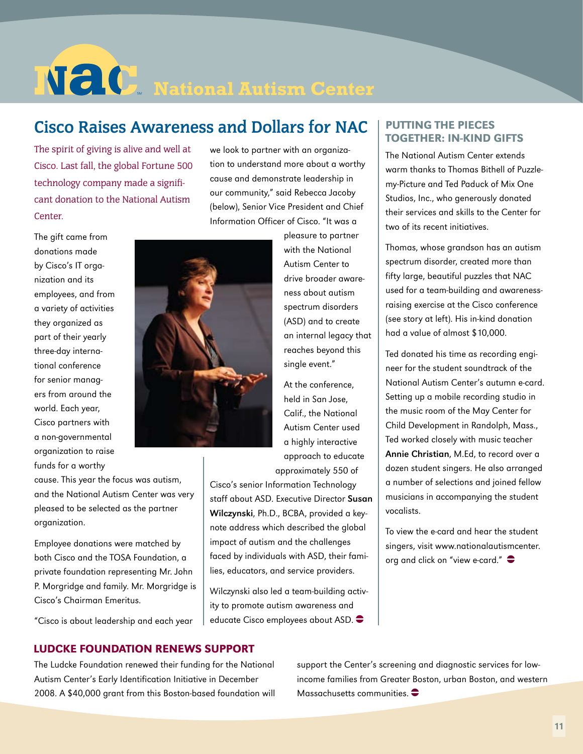# **NECO** National Autism Center

## **Cisco Raises Awareness and Dollars for NAC**

The spirit of giving is alive and well at Cisco. Last fall, the global Fortune 500 technology company made a significant donation to the National Autism Center.

we look to partner with an organization to understand more about a worthy cause and demonstrate leadership in our community," said Rebecca Jacoby (below), Senior Vice President and Chief Information Officer of Cisco. "It was a

The gift came from donations made by Cisco's IT organization and its employees, and from a variety of activities they organized as part of their yearly three-day international conference for senior managers from around the world. Each year, Cisco partners with a non-governmental organization to raise funds for a worthy

cause. This year the focus was autism, and the National Autism Center was very pleased to be selected as the partner organization.

Employee donations were matched by both Cisco and the TOSA Foundation, a private foundation representing Mr. John P. Morgridge and family. Mr. Morgridge is Cisco's Chairman Emeritus.

"Cisco is about leadership and each year



pleasure to partner with the National Autism Center to drive broader awareness about autism spectrum disorders (ASD) and to create an internal legacy that reaches beyond this single event."

At the conference, held in San Jose, Calif., the National Autism Center used a highly interactive approach to educate approximately 550 of

Cisco's senior Information Technology staff about ASD. Executive Director Susan Wilczynski, Ph.D., BCBA, provided a keynote address which described the global impact of autism and the challenges faced by individuals with ASD, their families, educators, and service providers.

Wilczynski also led a team-building activity to promote autism awareness and educate Cisco employees about ASD.  $\bullet$ 

#### putting the pieces together: in-kind gifts

The National Autism Center extends warm thanks to Thomas Bithell of Puzzlemy-Picture and Ted Paduck of Mix One Studios, Inc., who generously donated their services and skills to the Center for two of its recent initiatives.

Thomas, whose grandson has an autism spectrum disorder, created more than fifty large, beautiful puzzles that NAC used for a team-building and awarenessraising exercise at the Cisco conference (see story at left). His in-kind donation had a value of almost \$10,000.

Ted donated his time as recording engineer for the student soundtrack of the National Autism Center's autumn e-card. Setting up a mobile recording studio in the music room of the May Center for Child Development in Randolph, Mass., Ted worked closely with music teacher Annie Christian, M.Ed, to record over a dozen student singers. He also arranged a number of selections and joined fellow musicians in accompanying the student vocalists.

To view the e-card and hear the student singers, visit www.nationalautismcenter. org and click on "view e-card."  $\bullet$ 

#### Ludcke Foundation renews Support

The Ludcke Foundation renewed their funding for the National Autism Center's Early Identification Initiative in December 2008. A \$40,000 grant from this Boston-based foundation will support the Center's screening and diagnostic services for lowincome families from Greater Boston, urban Boston, and western Massachusetts communities.  $\bullet$